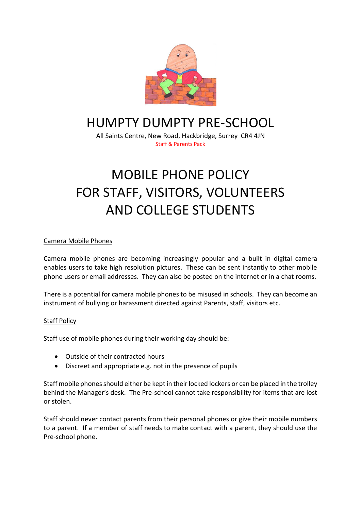

# HUMPTY DUMPTY PRE-SCHOOL

All Saints Centre, New Road, Hackbridge, Surrey CR4 4JN Staff & Parents Pack

# MOBILE PHONE POLICY FOR STAFF, VISITORS, VOLUNTEERS AND COLLEGE STUDENTS

## Camera Mobile Phones

Camera mobile phones are becoming increasingly popular and a built in digital camera enables users to take high resolution pictures. These can be sent instantly to other mobile phone users or email addresses. They can also be posted on the internet or in a chat rooms.

There is a potential for camera mobile phones to be misused in schools. They can become an instrument of bullying or harassment directed against Parents, staff, visitors etc.

### **Staff Policy**

Staff use of mobile phones during their working day should be:

- Outside of their contracted hours
- Discreet and appropriate e.g. not in the presence of pupils

Staff mobile phones should either be kept in their locked lockers or can be placed in the trolley behind the Manager's desk. The Pre-school cannot take responsibility for items that are lost or stolen.

Staff should never contact parents from their personal phones or give their mobile numbers to a parent. If a member of staff needs to make contact with a parent, they should use the Pre-school phone.